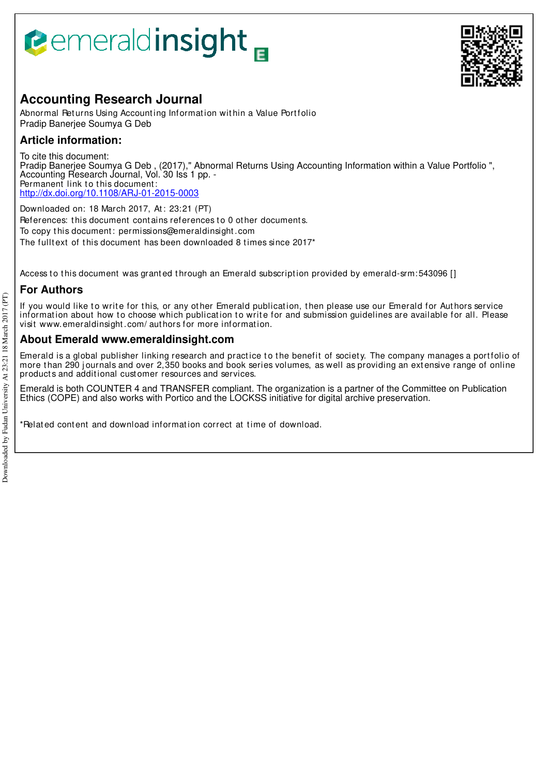# **Pemeraldinsight**



## **Accounting Research Journal**

Abnormal Returns Using Accounting Information within a Value Portfolio Pradip Banerjee Soumya G Deb

## **Article information:**

To cite this document: Pradip Banerjee Soumya G Deb , (2017)," Abnormal Returns Using Accounting Information within a Value Portfolio ", Accounting Research Journal, Vol. 30 Iss 1 pp. - Permanent link to this document: http://dx.doi.org/10.1108/ARJ-01-2015-0003

Downloaded on: 18 March 2017, At : 23:21 (PT) References: this document contains references to 0 other documents. To copy t his document : permissions@emeraldinsight .com The fulltext of this document has been downloaded 8 times since 2017<sup>\*</sup>

Access to this document was granted through an Emerald subscription provided by emerald-srm:543096 []

## **For Authors**

If you would like to write for this, or any other Emerald publication, then please use our Emerald for Authors service information about how to choose which publication to write for and submission guidelines are available for all. Please visit www.emeraldinsight .com/ aut hors for more informat ion.

## **About Emerald www.emeraldinsight.com**

Emerald is a global publisher linking research and practice to the benefit of society. The company manages a portfolio of more than 290 journals and over 2,350 books and book series volumes, as well as providing an extensive range of online product s and addit ional cust omer resources and services.

Emerald is both COUNTER 4 and TRANSFER compliant. The organization is a partner of the Committee on Publication Ethics (COPE) and also works with Portico and the LOCKSS initiative for digital archive preservation.

\*Related content and download information correct at time of download.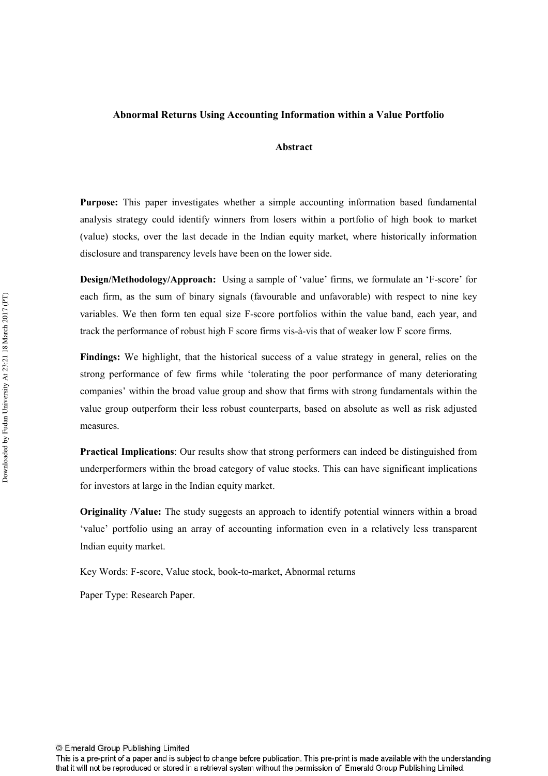#### **Abnormal Returns Using Accounting Information within a Value Portfolio**

#### **Abstract**

**Purpose:** This paper investigates whether a simple accounting information based fundamental analysis strategy could identify winners from losers within a portfolio of high book to market (value) stocks, over the last decade in the Indian equity market, where historically information disclosure and transparency levels have been on the lower side.

**Design/Methodology/Approach:** Using a sample of 'value' firms, we formulate an 'F-score' for each firm, as the sum of binary signals (favourable and unfavorable) with respect to nine key variables. We then form ten equal size F-score portfolios within the value band, each year, and track the performance of robust high F score firms vis-à-vis that of weaker low F score firms.

**Findings:** We highlight, that the historical success of a value strategy in general, relies on the strong performance of few firms while 'tolerating the poor performance of many deteriorating companies' within the broad value group and show that firms with strong fundamentals within the value group outperform their less robust counterparts, based on absolute as well as risk adjusted measures.

**Practical Implications**: Our results show that strong performers can indeed be distinguished from underperformers within the broad category of value stocks. This can have significant implications for investors at large in the Indian equity market.

**Originality /Value:** The study suggests an approach to identify potential winners within a broad 'value' portfolio using an array of accounting information even in a relatively less transparent Indian equity market.

Key Words: F-score, Value stock, book-to-market, Abnormal returns

Paper Type: Research Paper.

© Emerald Group Publishing Limited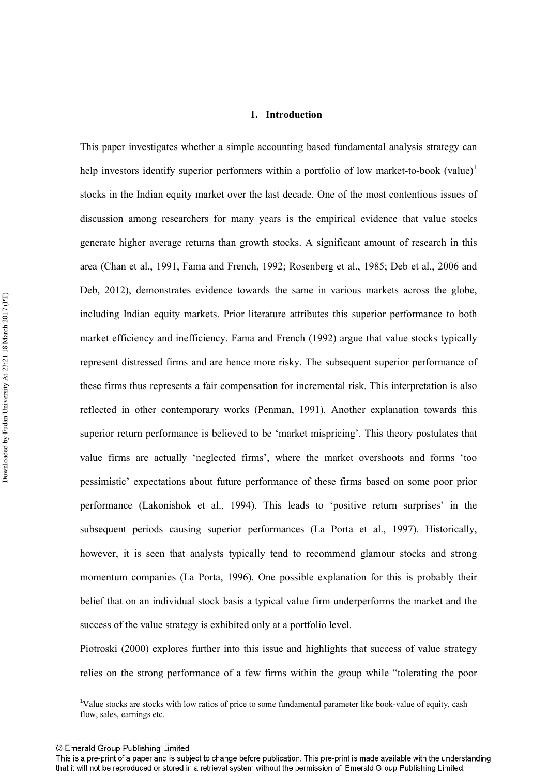#### **1. Introduction**

This paper investigates whether a simple accounting based fundamental analysis strategy can help investors identify superior performers within a portfolio of low market-to-book (value)<sup>1</sup> stocks in the Indian equity market over the last decade. One of the most contentious issues of discussion among researchers for many years is the empirical evidence that value stocks generate higher average returns than growth stocks. A significant amount of research in this area (Chan et al., 1991, Fama and French, 1992; Rosenberg et al., 1985; Deb et al., 2006 and Deb, 2012), demonstrates evidence towards the same in various markets across the globe, including Indian equity markets. Prior literature attributes this superior performance to both market efficiency and inefficiency. Fama and French (1992) argue that value stocks typically represent distressed firms and are hence more risky. The subsequent superior performance of these firms thus represents a fair compensation for incremental risk. This interpretation is also reflected in other contemporary works (Penman, 1991). Another explanation towards this superior return performance is believed to be 'market mispricing'. This theory postulates that value firms are actually 'neglected firms', where the market overshoots and forms 'too pessimistic' expectations about future performance of these firms based on some poor prior performance (Lakonishok et al., 1994). This leads to 'positive return surprises' in the subsequent periods causing superior performances (La Porta et al., 1997). Historically, however, it is seen that analysts typically tend to recommend glamour stocks and strong momentum companies (La Porta, 1996). One possible explanation for this is probably their belief that on an individual stock basis a typical value firm underperforms the market and the success of the value strategy is exhibited only at a portfolio level.

Piotroski (2000) explores further into this issue and highlights that success of value strategy relies on the strong performance of a few firms within the group while "tolerating the poor

 $\overline{a}$ 

 $1$ Value stocks are stocks with low ratios of price to some fundamental parameter like book-value of equity, cash flow, sales, earnings etc.

<sup>©</sup> Emerald Group Publishing Limited

This is a pre-print of a paper and is subject to change before publication. This pre-print is made available with the understanding that it will not be reproduced or stored in a retrieval system without the permission of Emerald Group Publishing Limited.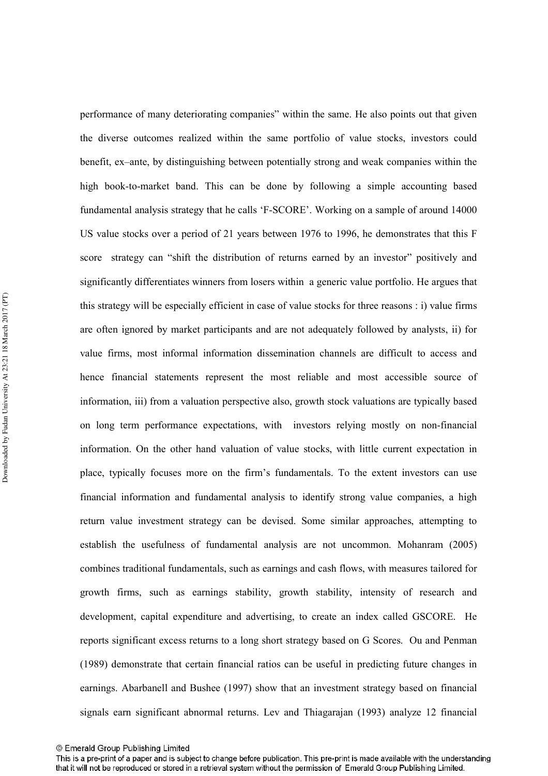performance of many deteriorating companies" within the same. He also points out that given the diverse outcomes realized within the same portfolio of value stocks, investors could benefit, ex–ante, by distinguishing between potentially strong and weak companies within the high book-to-market band. This can be done by following a simple accounting based fundamental analysis strategy that he calls 'F-SCORE'. Working on a sample of around 14000 US value stocks over a period of 21 years between 1976 to 1996, he demonstrates that this F score strategy can "shift the distribution of returns earned by an investor" positively and significantly differentiates winners from losers within a generic value portfolio. He argues that this strategy will be especially efficient in case of value stocks for three reasons : i) value firms are often ignored by market participants and are not adequately followed by analysts, ii) for value firms, most informal information dissemination channels are difficult to access and hence financial statements represent the most reliable and most accessible source of information, iii) from a valuation perspective also, growth stock valuations are typically based on long term performance expectations, with investors relying mostly on non-financial information. On the other hand valuation of value stocks, with little current expectation in place, typically focuses more on the firm's fundamentals. To the extent investors can use financial information and fundamental analysis to identify strong value companies, a high return value investment strategy can be devised. Some similar approaches, attempting to establish the usefulness of fundamental analysis are not uncommon. Mohanram (2005) combines traditional fundamentals, such as earnings and cash flows, with measures tailored for growth firms, such as earnings stability, growth stability, intensity of research and development, capital expenditure and advertising, to create an index called GSCORE. He reports significant excess returns to a long short strategy based on G Scores. Ou and Penman (1989) demonstrate that certain financial ratios can be useful in predicting future changes in earnings. Abarbanell and Bushee (1997) show that an investment strategy based on financial signals earn significant abnormal returns. Lev and Thiagarajan (1993) analyze 12 financial

<sup>©</sup> Emerald Group Publishing Limited

This is a pre-print of a paper and is subject to change before publication. This pre-print is made available with the understanding that it will not be reproduced or stored in a retrieval system without the permission of Emerald Group Publishing Limited.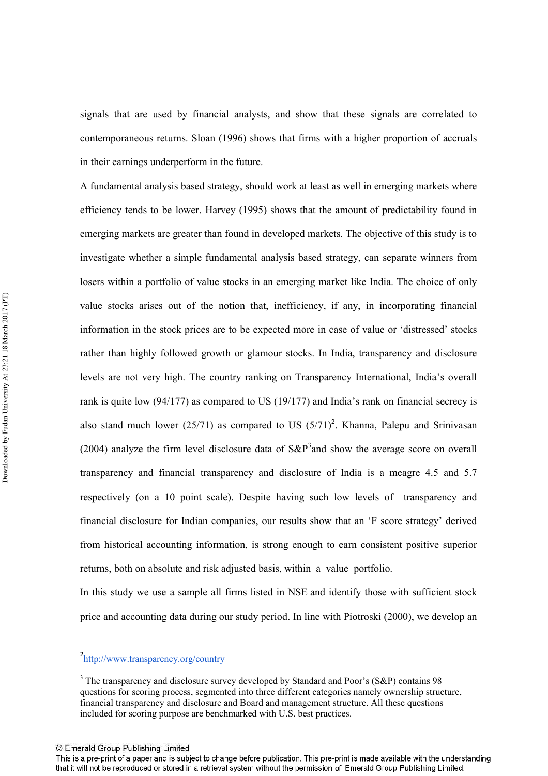signals that are used by financial analysts, and show that these signals are correlated to contemporaneous returns. Sloan (1996) shows that firms with a higher proportion of accruals in their earnings underperform in the future.

A fundamental analysis based strategy, should work at least as well in emerging markets where efficiency tends to be lower. Harvey (1995) shows that the amount of predictability found in emerging markets are greater than found in developed markets. The objective of this study is to investigate whether a simple fundamental analysis based strategy, can separate winners from losers within a portfolio of value stocks in an emerging market like India. The choice of only value stocks arises out of the notion that, inefficiency, if any, in incorporating financial information in the stock prices are to be expected more in case of value or 'distressed' stocks rather than highly followed growth or glamour stocks. In India, transparency and disclosure levels are not very high. The country ranking on Transparency International, India's overall rank is quite low (94/177) as compared to US (19/177) and India's rank on financial secrecy is also stand much lower (25/71) as compared to US  $(5/71)^2$ . Khanna, Palepu and Srinivasan (2004) analyze the firm level disclosure data of  $S\&P^3$  and show the average score on overall transparency and financial transparency and disclosure of India is a meagre 4.5 and 5.7 respectively (on a 10 point scale). Despite having such low levels of transparency and financial disclosure for Indian companies, our results show that an 'F score strategy' derived from historical accounting information, is strong enough to earn consistent positive superior returns, both on absolute and risk adjusted basis, within a value portfolio.

In this study we use a sample all firms listed in NSE and identify those with sufficient stock price and accounting data during our study period. In line with Piotroski (2000), we develop an

© Emerald Group Publishing Limited

 $\overline{a}$ 

<sup>2</sup> http://www.transparency.org/country

<sup>&</sup>lt;sup>3</sup> The transparency and disclosure survey developed by Standard and Poor's (S&P) contains 98 questions for scoring process, segmented into three different categories namely ownership structure, financial transparency and disclosure and Board and management structure. All these questions included for scoring purpose are benchmarked with U.S. best practices.

This is a pre-print of a paper and is subject to change before publication. This pre-print is made available with the understanding that it will not be reproduced or stored in a retrieval system without the permission of Emerald Group Publishing Limited.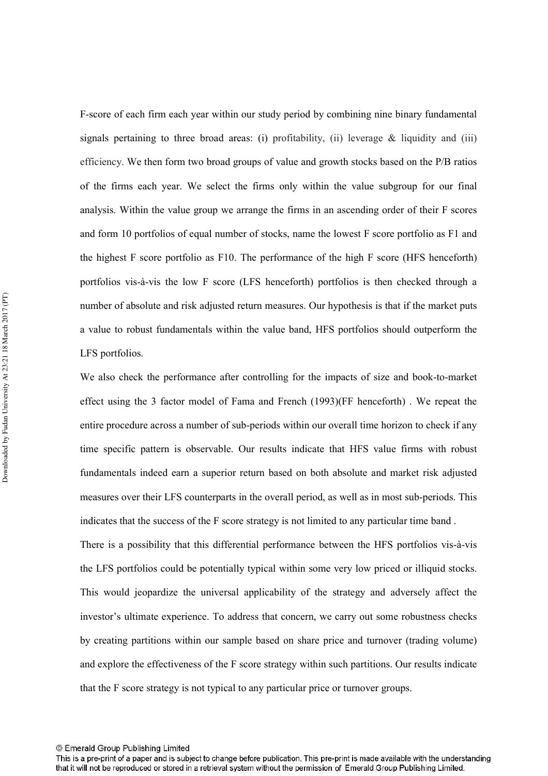F-score of each firm each year within our study period by combining nine binary fundamental signals pertaining to three broad areas: (i) profitability, (ii) leverage  $\&$  liquidity and (iii) efficiency. We then form two broad groups of value and growth stocks based on the P/B ratios of the firms each year. We select the firms only within the value subgroup for our final analysis. Within the value group we arrange the firms in an ascending order of their F scores and form 10 portfolios of equal number of stocks, name the lowest F score portfolio as F1 and the highest F score portfolio as F10. The performance of the high F score (HFS henceforth) portfolios vis-à-vis the low F score (LFS henceforth) portfolios is then checked through a number of absolute and risk adjusted return measures. Our hypothesis is that if the market puts a value to robust fundamentals within the value band, HFS portfolios should outperform the LFS portfolios.

We also check the performance after controlling for the impacts of size and book-to-market effect using the 3 factor model of Fama and French (1993)(FF henceforth) . We repeat the entire procedure across a number of sub-periods within our overall time horizon to check if any time specific pattern is observable. Our results indicate that HFS value firms with robust fundamentals indeed earn a superior return based on both absolute and market risk adjusted measures over their LFS counterparts in the overall period, as well as in most sub-periods. This indicates that the success of the F score strategy is not limited to any particular time band .

There is a possibility that this differential performance between the HFS portfolios vis-à-vis the LFS portfolios could be potentially typical within some very low priced or illiquid stocks. This would jeopardize the universal applicability of the strategy and adversely affect the investor's ultimate experience. To address that concern, we carry out some robustness checks by creating partitions within our sample based on share price and turnover (trading volume) and explore the effectiveness of the F score strategy within such partitions. Our results indicate that the F score strategy is not typical to any particular price or turnover groups.

This is a pre-print of a paper and is subject to change before publication. This pre-print is made available with the understanding that it will not be reproduced or stored in a retrieval system without the permission of Emerald Group Publishing Limited.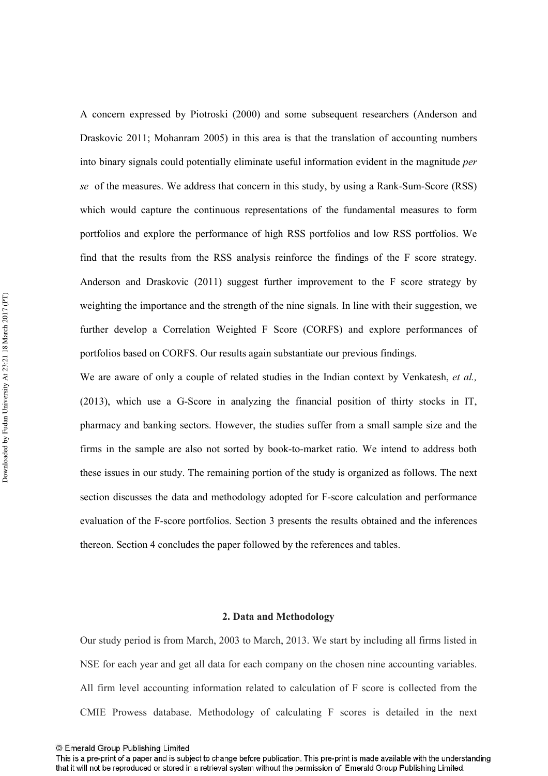A concern expressed by Piotroski (2000) and some subsequent researchers (Anderson and Draskovic 2011; Mohanram 2005) in this area is that the translation of accounting numbers into binary signals could potentially eliminate useful information evident in the magnitude *per se* of the measures. We address that concern in this study, by using a Rank-Sum-Score (RSS) which would capture the continuous representations of the fundamental measures to form portfolios and explore the performance of high RSS portfolios and low RSS portfolios. We find that the results from the RSS analysis reinforce the findings of the F score strategy. Anderson and Draskovic (2011) suggest further improvement to the F score strategy by weighting the importance and the strength of the nine signals. In line with their suggestion, we further develop a Correlation Weighted F Score (CORFS) and explore performances of portfolios based on CORFS. Our results again substantiate our previous findings.

We are aware of only a couple of related studies in the Indian context by Venkatesh, et al.,  $(2013)$ , which use a G-Score in analyzing the financial position of thirty stocks in IT, pharmacy and banking sectors. However, the studies suffer from a small sample size and the firms in the sample are also not sorted by book-to-market ratio. We intend to address both these issues in our study. The remaining portion of the study is organized as follows. The next section discusses the data and methodology adopted for F-score calculation and performance evaluation of the F-score portfolios. Section 3 presents the results obtained and the inferences thereon. Section 4 concludes the paper followed by the references and tables.

#### **2. Data and Methodology**

Our study period is from March, 2003 to March, 2013. We start by including all firms listed in NSE for each year and get all data for each company on the chosen nine accounting variables. All firm level accounting information related to calculation of F score is collected from the CMIE Prowess database. Methodology of calculating F scores is detailed in the next

This is a pre-print of a paper and is subject to change before publication. This pre-print is made available with the understanding that it will not be reproduced or stored in a retrieval system without the permission of Emerald Group Publishing Limited.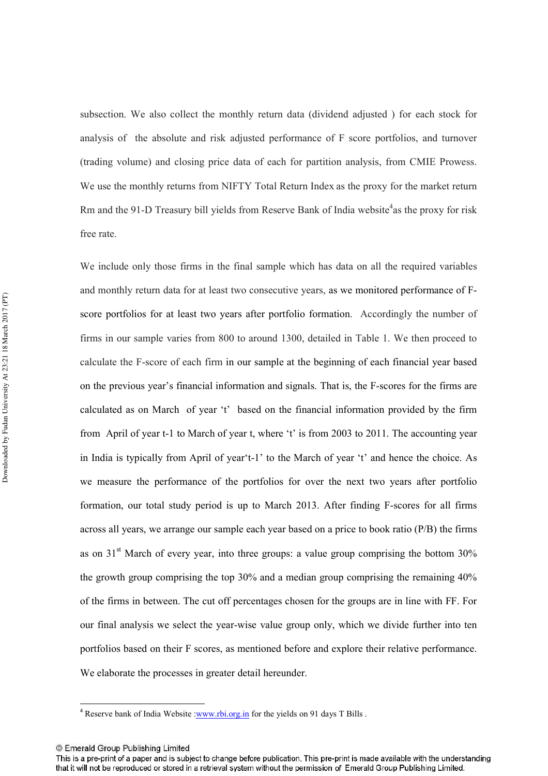subsection. We also collect the monthly return data (dividend adjusted ) for each stock for analysis of the absolute and risk adjusted performance of F score portfolios, and turnover (trading volume) and closing price data of each for partition analysis, from CMIE Prowess. We use the monthly returns from NIFTY Total Return Index as the proxy for the market return Rm and the 91-D Treasury bill yields from Reserve Bank of India website<sup>4</sup>as the proxy for risk free rate.

We include only those firms in the final sample which has data on all the required variables and monthly return data for at least two consecutive years, as we monitored performance of Fscore portfolios for at least two years after portfolio formation. Accordingly the number of firms in our sample varies from 800 to around 1300, detailed in Table 1. We then proceed to calculate the F-score of each firm in our sample at the beginning of each financial year based on the previous year's financial information and signals. That is, the F-scores for the firms are calculated as on March of year 't' based on the financial information provided by the firm from April of year t-1 to March of year t, where 't' is from 2003 to 2011. The accounting year in India is typically from April of year't-1' to the March of year 't' and hence the choice. As we measure the performance of the portfolios for over the next two years after portfolio formation, our total study period is up to March 2013. After finding F-scores for all firms across all years, we arrange our sample each year based on a price to book ratio (P/B) the firms as on  $31<sup>st</sup>$  March of every year, into three groups: a value group comprising the bottom  $30\%$ the growth group comprising the top 30% and a median group comprising the remaining 40% of the firms in between. The cut off percentages chosen for the groups are in line with FF. For our final analysis we select the year-wise value group only, which we divide further into ten portfolios based on their F scores, as mentioned before and explore their relative performance. We elaborate the processes in greater detail hereunder.

 $\overline{a}$ 

<sup>&</sup>lt;sup>4</sup> Reserve bank of India Website :www.rbi.org.in for the yields on 91 days T Bills.

<sup>©</sup> Emerald Group Publishing Limited

This is a pre-print of a paper and is subject to change before publication. This pre-print is made available with the understanding that it will not be reproduced or stored in a retrieval system without the permission of Emerald Group Publishing Limited.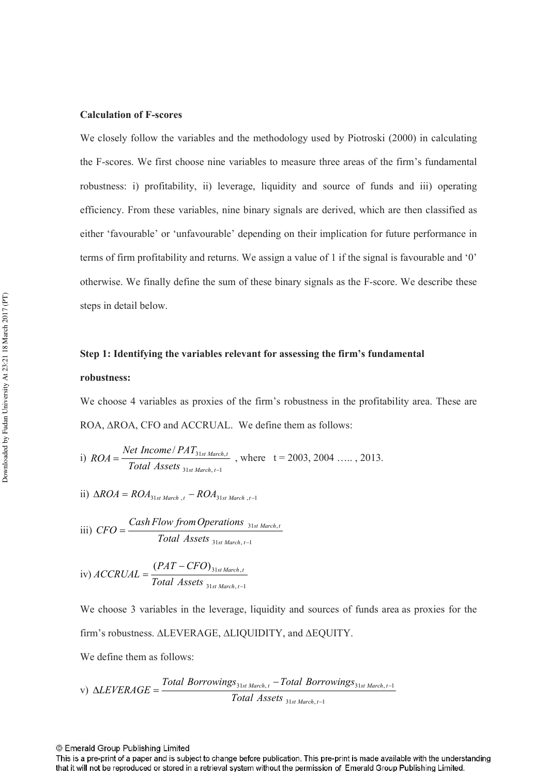#### **Calculation of F-scores**

We closely follow the variables and the methodology used by Piotroski (2000) in calculating the F-scores. We first choose nine variables to measure three areas of the firm's fundamental robustness: i) profitability, ii) leverage, liquidity and source of funds and iii) operating efficiency. From these variables, nine binary signals are derived, which are then classified as either 'favourable' or 'unfavourable' depending on their implication for future performance in terms of firm profitability and returns. We assign a value of 1 if the signal is favourable and '0' otherwise. We finally define the sum of these binary signals as the F-score. We describe these steps in detail below.

# **Step 1: Identifying the variables relevant for assessing the firm's fundamental robustness:**

We choose 4 variables as proxies of the firm's robustness in the profitability area. These are ROA, ∆ROA, CFO and ACCRUAL. We define them as follows:

i) 
$$
ROA = \frac{Net\ Income/PATH_{31st\ March,t}}{Total\ Assets_{31st\ March,t-1}}
$$
, where  $t = 2003, 2004, ..., 2013$ .

ii) 
$$
\Delta ROA = ROA_{31st\ March\ t} - ROA_{31st\ March\ t-1}
$$

$$
iii) \ CFO = \frac{Cash Flow from Operations_{31st March, t}}{Total Assets_{31st March, t-1}}
$$

iv) 
$$
ACCRUAL = \frac{(PAT - CFO)_{31st\,March, t}}{Total\, Assets_{31st\,March, t-1}}
$$

We choose 3 variables in the leverage, liquidity and sources of funds area as proxies for the firm's robustness. ∆LEVERAGE, ∆LIQUIDITY, and ∆EQUITY.

We define them as follows:

v) 
$$
\triangle LEVERAGE = \frac{Total Borrowings_{31st March, t} - Total Borrowings_{31st March, t-1}}{Total Assets_{31st March, t-1}}
$$

This is a pre-print of a paper and is subject to change before publication. This pre-print is made available with the understanding that it will not be reproduced or stored in a retrieval system without the permission of Emerald Group Publishing Limited.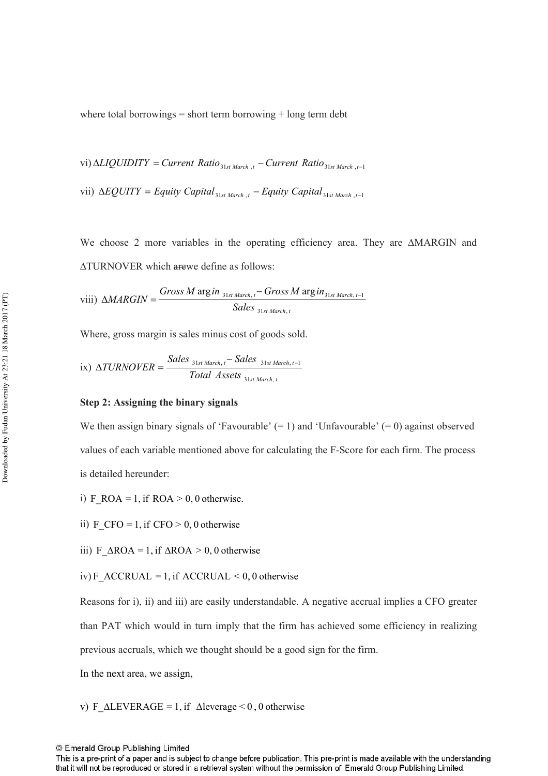where total borrowings  $=$  short term borrowing  $+$  long term debt

vi) 
$$
\triangle LIQUIDITY = Current Ratio_{31st March, t} - Current Ratio_{31st March, t-1}
$$

vii)  $\Delta EQUITY = Equity Capital_{31st March, t} - Equity Capital_{31st March, 1}$ 

We choose 2 more variables in the operating efficiency area. They are ∆MARGIN and ∆TURNOVER which arewe define as follows:

$$
\text{viii)}\ \ \Delta MARGIN = \frac{Gross\ M\ \text{arg}\ in\ \,_{31st\ March, t} - Gross\ M\ \text{arg}\ in\,_{31st\ March, t-1}}{Sales\ \,_{31st\ March, t}}
$$

Where, gross margin is sales minus cost of goods sold.

ix) 
$$
\triangle TURNOVER = \frac{Sales_{31st March, t} - Sales_{31st March, t-1}}{Total Assets_{31st March, t}}
$$

#### **Step 2: Assigning the binary signals**

We then assign binary signals of 'Favourable'  $(= 1)$  and 'Unfavourable'  $(= 0)$  against observed values of each variable mentioned above for calculating the F-Score for each firm. The process is detailed hereunder:

i) F\_ROA = 1, if  $ROA > 0$ , 0 otherwise.

ii) F\_CFO = 1, if CFO > 0, 0 otherwise

iii) F  $\triangle$ ROA = 1, if  $\triangle$ ROA > 0, 0 otherwise

iv) F\_ACCRUAL = 1, if  $\text{ACCRUAL}$  < 0, 0 otherwise

Reasons for i), ii) and iii) are easily understandable. A negative accrual implies a CFO greater

than PAT which would in turn imply that the firm has achieved some efficiency in realizing

previous accruals, which we thought should be a good sign for the firm.

In the next area, we assign,

v) F  $\triangle$ LEVERAGE = 1, if  $\triangle$ leverage < 0, 0 otherwise

© Emerald Group Publishing Limited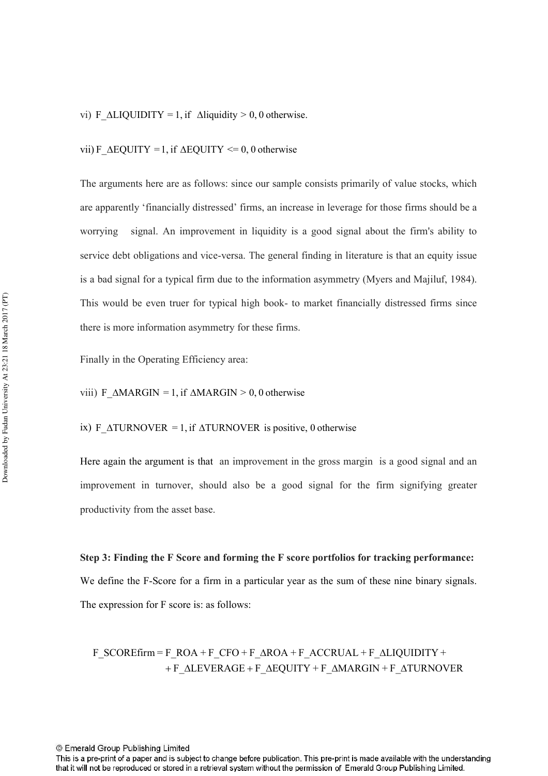#### vi) F  $\triangle LIQUIDITY = 1$ , if  $\triangle liquidity > 0, 0$  otherwise.

#### vii) F\_ $\Delta$ EQUITY = 1, if  $\Delta$ EQUITY <= 0, 0 otherwise

The arguments here are as follows: since our sample consists primarily of value stocks, which are apparently 'financially distressed' firms, an increase in leverage for those firms should be a worrying signal. An improvement in liquidity is a good signal about the firm's ability to service debt obligations and vice-versa. The general finding in literature is that an equity issue is a bad signal for a typical firm due to the information asymmetry (Myers and Majiluf, 1984). This would be even truer for typical high book- to market financially distressed firms since there is more information asymmetry for these firms.

Finally in the Operating Efficiency area:

viii) F\_MARGIN = 1, if  $\triangle MARGIN > 0$ , 0 otherwise

#### ix) F\_ $\Delta TURNOVER = 1$ , if  $\Delta TURNOVER$  is positive, 0 otherwise

Here again the argument is that an improvement in the gross margin is a good signal and an improvement in turnover, should also be a good signal for the firm signifying greater productivity from the asset base.

**Step 3: Finding the F Score and forming the F score portfolios for tracking performance:**  We define the F-Score for a firm in a particular year as the sum of these nine binary signals. The expression for F score is: as follows:

+ F\_ALEVERAGE + F\_AEQUITY + F\_AMARGIN + F\_ATURNOVER  $F_SCORE$ firm =  $F_ROA + F_CFO + F_AROA + F_ACCRUAL + F_ALIQUIDITY +$ 

© Emerald Group Publishing Limited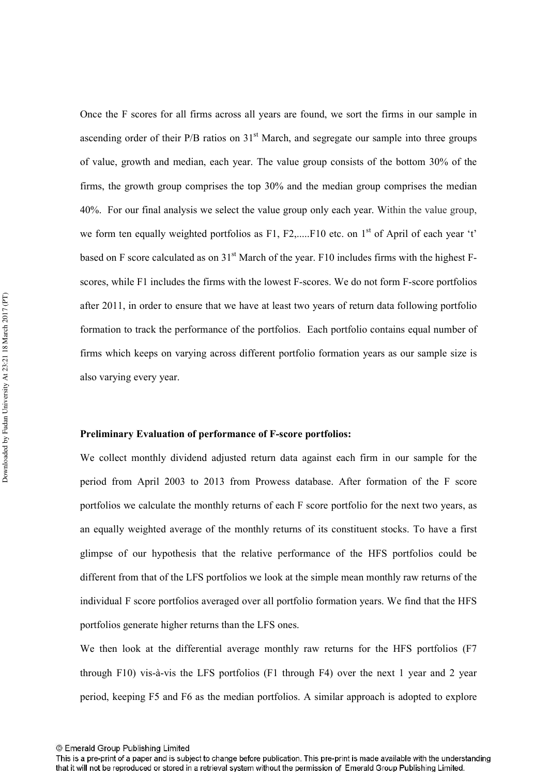Once the F scores for all firms across all years are found, we sort the firms in our sample in ascending order of their  $P/B$  ratios on  $31<sup>st</sup>$  March, and segregate our sample into three groups of value, growth and median, each year. The value group consists of the bottom 30% of the firms, the growth group comprises the top 30% and the median group comprises the median 40%. For our final analysis we select the value group only each year. Within the value group, we form ten equally weighted portfolios as F1, F2,.....F10 etc. on  $1<sup>st</sup>$  of April of each year 't' based on F score calculated as on  $31<sup>st</sup>$  March of the year. F10 includes firms with the highest Fscores, while F1 includes the firms with the lowest F-scores. We do not form F-score portfolios after 2011, in order to ensure that we have at least two years of return data following portfolio formation to track the performance of the portfolios. Each portfolio contains equal number of firms which keeps on varying across different portfolio formation years as our sample size is also varying every year.

#### **Preliminary Evaluation of performance of F-score portfolios:**

We collect monthly dividend adjusted return data against each firm in our sample for the period from April 2003 to 2013 from Prowess database. After formation of the F score portfolios we calculate the monthly returns of each F score portfolio for the next two years, as an equally weighted average of the monthly returns of its constituent stocks. To have a first glimpse of our hypothesis that the relative performance of the HFS portfolios could be different from that of the LFS portfolios we look at the simple mean monthly raw returns of the individual F score portfolios averaged over all portfolio formation years. We find that the HFS portfolios generate higher returns than the LFS ones.

We then look at the differential average monthly raw returns for the HFS portfolios (F7 through F10) vis-à-vis the LFS portfolios (F1 through F4) over the next 1 year and 2 year period, keeping F5 and F6 as the median portfolios. A similar approach is adopted to explore

This is a pre-print of a paper and is subject to change before publication. This pre-print is made available with the understanding that it will not be reproduced or stored in a retrieval system without the permission of Emerald Group Publishing Limited.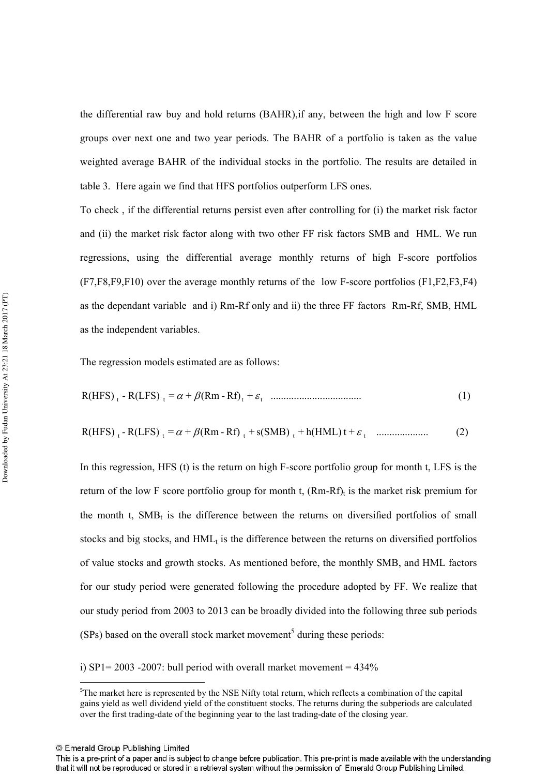the differential raw buy and hold returns (BAHR),if any, between the high and low F score groups over next one and two year periods. The BAHR of a portfolio is taken as the value weighted average BAHR of the individual stocks in the portfolio. The results are detailed in table 3. Here again we find that HFS portfolios outperform LFS ones.

To check , if the differential returns persist even after controlling for (i) the market risk factor and (ii) the market risk factor along with two other FF risk factors SMB and HML. We run regressions, using the differential average monthly returns of high F-score portfolios  $(F7,F8,F9,F10)$  over the average monthly returns of the low F-score portfolios  $(F1,F2,F3,F4)$ as the dependant variable and i) Rm-Rf only and ii) the three FF factors Rm-Rf, SMB, HML as the independent variables.

The regression models estimated are as follows:

$$
R(HFS)_{t} - R(LFS)_{t} = \alpha + \beta (Rm - Rf)_{t} + \varepsilon_{t}
$$
......... (1)

$$
R(HFS)_{t} - R(LFS)_{t} = \alpha + \beta (Rm - Rf)_{t} + s(SMB)_{t} + h(HML) t + \varepsilon_{t}
$$
 ....... (2)

In this regression, HFS (t) is the return on high F-score portfolio group for month t, LFS is the return of the low F score portfolio group for month t,  $(Rm-Rf)$ <sub>t</sub> is the market risk premium for the month t,  $SMB_t$  is the difference between the returns on diversified portfolios of small stocks and big stocks, and  $HML<sub>t</sub>$  is the difference between the returns on diversified portfolios of value stocks and growth stocks. As mentioned before, the monthly SMB, and HML factors for our study period were generated following the procedure adopted by FF. We realize that our study period from 2003 to 2013 can be broadly divided into the following three sub periods  $(SPs)$  based on the overall stock market movement<sup>5</sup> during these periods:

i) SP1= 2003 -2007: bull period with overall market movement =  $434\%$ 

© Emerald Group Publishing Limited

 $\overline{a}$ 

<sup>&</sup>lt;sup>5</sup>The market here is represented by the NSE Nifty total return, which reflects a combination of the capital gains yield as well dividend yield of the constituent stocks. The returns during the subperiods are calculated over the first trading-date of the beginning year to the last trading-date of the closing year.

This is a pre-print of a paper and is subject to change before publication. This pre-print is made available with the understanding that it will not be reproduced or stored in a retrieval system without the permission of Emerald Group Publishing Limited.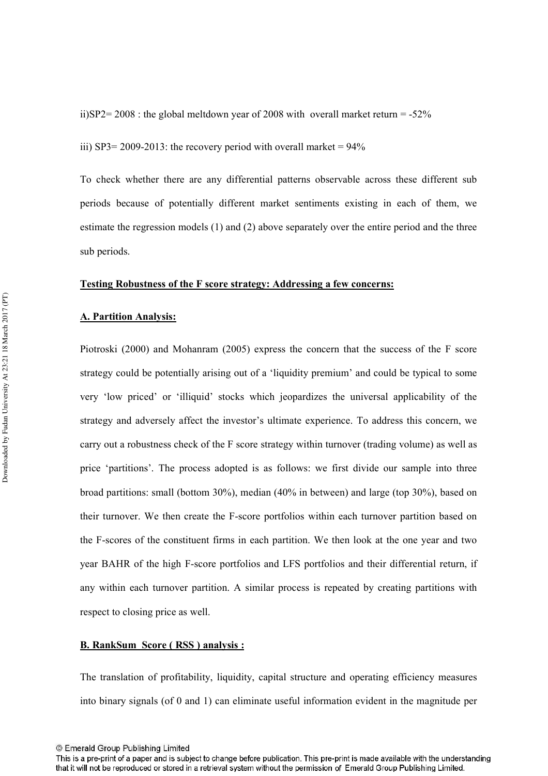ii)SP2= 2008 : the global meltdown year of 2008 with overall market return =  $-52\%$ 

iii) SP3= 2009-2013: the recovery period with overall market =  $94\%$ 

To check whether there are any differential patterns observable across these different sub periods because of potentially different market sentiments existing in each of them, we estimate the regression models (1) and (2) above separately over the entire period and the three sub periods.

#### **Testing Robustness of the F score strategy: Addressing a few concerns:**

#### **A. Partition Analysis:**

Piotroski (2000) and Mohanram (2005) express the concern that the success of the F score strategy could be potentially arising out of a 'liquidity premium' and could be typical to some very 'low priced' or 'illiquid' stocks which jeopardizes the universal applicability of the strategy and adversely affect the investor's ultimate experience. To address this concern, we carry out a robustness check of the F score strategy within turnover (trading volume) as well as price 'partitions'. The process adopted is as follows: we first divide our sample into three broad partitions: small (bottom 30%), median (40% in between) and large (top 30%), based on their turnover. We then create the F-score portfolios within each turnover partition based on the F-scores of the constituent firms in each partition. We then look at the one year and two year BAHR of the high F-score portfolios and LFS portfolios and their differential return, if any within each turnover partition. A similar process is repeated by creating partitions with respect to closing price as well.

#### **B. RankSum Score ( RSS ) analysis :**

The translation of profitability, liquidity, capital structure and operating efficiency measures into binary signals (of 0 and 1) can eliminate useful information evident in the magnitude per

<sup>©</sup> Emerald Group Publishing Limited

This is a pre-print of a paper and is subject to change before publication. This pre-print is made available with the understanding that it will not be reproduced or stored in a retrieval system without the permission of Emerald Group Publishing Limited.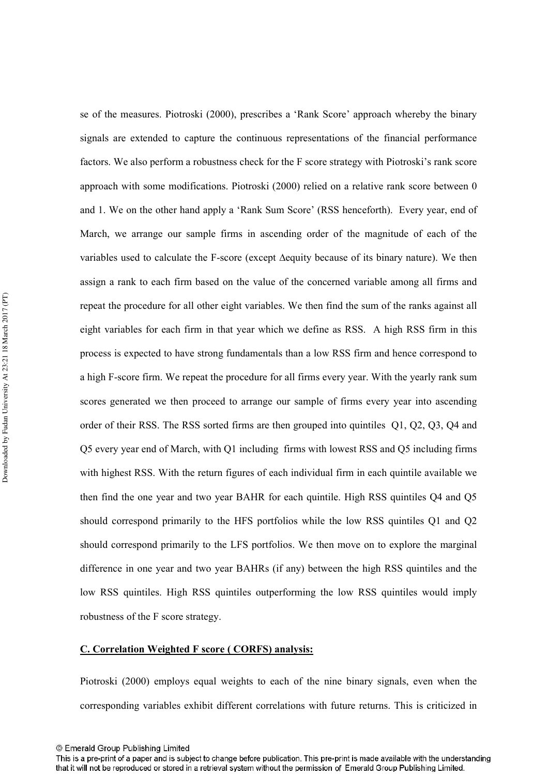se of the measures. Piotroski (2000), prescribes a 'Rank Score' approach whereby the binary signals are extended to capture the continuous representations of the financial performance factors. We also perform a robustness check for the F score strategy with Piotroski's rank score approach with some modifications. Piotroski (2000) relied on a relative rank score between 0 and 1. We on the other hand apply a 'Rank Sum Score' (RSS henceforth). Every year, end of March, we arrange our sample firms in ascending order of the magnitude of each of the variables used to calculate the F-score (except ∆equity because of its binary nature). We then assign a rank to each firm based on the value of the concerned variable among all firms and repeat the procedure for all other eight variables. We then find the sum of the ranks against all eight variables for each firm in that year which we define as RSS. A high RSS firm in this process is expected to have strong fundamentals than a low RSS firm and hence correspond to a high F-score firm. We repeat the procedure for all firms every year. With the yearly rank sum scores generated we then proceed to arrange our sample of firms every year into ascending order of their RSS. The RSS sorted firms are then grouped into quintiles Q1, Q2, Q3, Q4 and Q5 every year end of March, with Q1 including firms with lowest RSS and Q5 including firms with highest RSS. With the return figures of each individual firm in each quintile available we then find the one year and two year BAHR for each quintile. High RSS quintiles Q4 and Q5 should correspond primarily to the HFS portfolios while the low RSS quintiles Q1 and Q2 should correspond primarily to the LFS portfolios. We then move on to explore the marginal difference in one year and two year BAHRs (if any) between the high RSS quintiles and the low RSS quintiles. High RSS quintiles outperforming the low RSS quintiles would imply robustness of the F score strategy.

#### **C. Correlation Weighted F score ( CORFS) analysis:**

Piotroski (2000) employs equal weights to each of the nine binary signals, even when the corresponding variables exhibit different correlations with future returns. This is criticized in

This is a pre-print of a paper and is subject to change before publication. This pre-print is made available with the understanding that it will not be reproduced or stored in a retrieval system without the permission of Emerald Group Publishing Limited.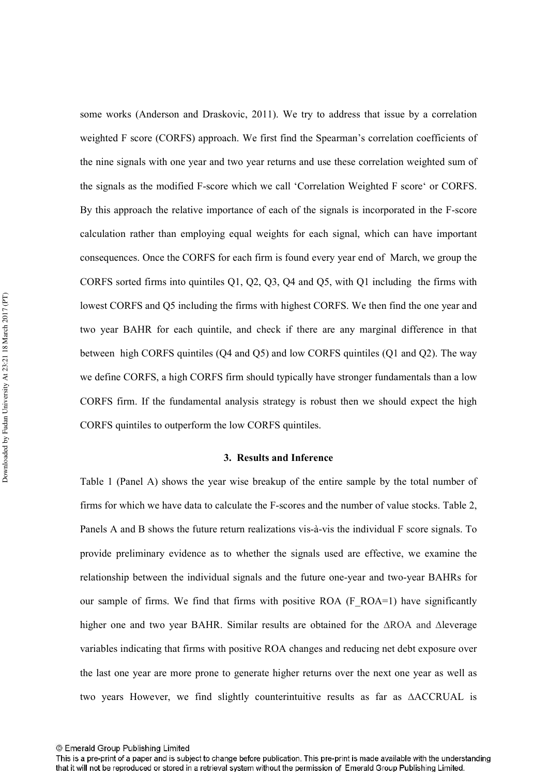some works (Anderson and Draskovic, 2011). We try to address that issue by a correlation weighted F score (CORFS) approach. We first find the Spearman's correlation coefficients of the nine signals with one year and two year returns and use these correlation weighted sum of the signals as the modified F-score which we call 'Correlation Weighted F score' or CORFS. By this approach the relative importance of each of the signals is incorporated in the F-score calculation rather than employing equal weights for each signal, which can have important consequences. Once the CORFS for each firm is found every year end of March, we group the CORFS sorted firms into quintiles Q1, Q2, Q3, Q4 and Q5, with Q1 including the firms with lowest CORFS and Q5 including the firms with highest CORFS. We then find the one year and two year BAHR for each quintile, and check if there are any marginal difference in that between high CORFS quintiles (Q4 and Q5) and low CORFS quintiles (Q1 and Q2). The way we define CORFS, a high CORFS firm should typically have stronger fundamentals than a low CORFS firm. If the fundamental analysis strategy is robust then we should expect the high CORFS quintiles to outperform the low CORFS quintiles.

#### **3. Results and Inference**

Table 1 (Panel A) shows the year wise breakup of the entire sample by the total number of firms for which we have data to calculate the F-scores and the number of value stocks. Table 2, Panels A and B shows the future return realizations vis-à-vis the individual F score signals. To provide preliminary evidence as to whether the signals used are effective, we examine the relationship between the individual signals and the future one-year and two-year BAHRs for our sample of firms. We find that firms with positive ROA (F\_ROA=1) have significantly higher one and two year BAHR. Similar results are obtained for the ∆ROA and ∆leverage variables indicating that firms with positive ROA changes and reducing net debt exposure over the last one year are more prone to generate higher returns over the next one year as well as two years However, we find slightly counterintuitive results as far as ∆ACCRUAL is

<sup>©</sup> Emerald Group Publishing Limited

This is a pre-print of a paper and is subject to change before publication. This pre-print is made available with the understanding that it will not be reproduced or stored in a retrieval system without the permission of Emerald Group Publishing Limited.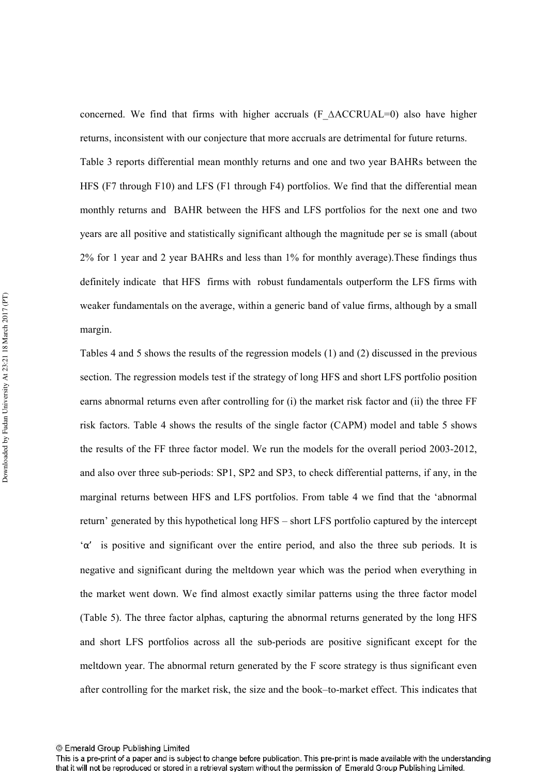concerned. We find that firms with higher accruals (F\_∆ACCRUAL=0) also have higher returns, inconsistent with our conjecture that more accruals are detrimental for future returns. Table 3 reports differential mean monthly returns and one and two year BAHRs between the HFS (F7 through F10) and LFS (F1 through F4) portfolios. We find that the differential mean monthly returns and BAHR between the HFS and LFS portfolios for the next one and two years are all positive and statistically significant although the magnitude per se is small (about 2% for 1 year and 2 year BAHRs and less than 1% for monthly average).These findings thus definitely indicate that HFS firms with robust fundamentals outperform the LFS firms with weaker fundamentals on the average, within a generic band of value firms, although by a small margin.

Tables 4 and 5 shows the results of the regression models (1) and (2) discussed in the previous section. The regression models test if the strategy of long HFS and short LFS portfolio position earns abnormal returns even after controlling for (i) the market risk factor and (ii) the three FF risk factors. Table 4 shows the results of the single factor (CAPM) model and table 5 shows the results of the FF three factor model. We run the models for the overall period  $2003-2012$ , and also over three sub-periods:  $SP1$ ,  $SP2$  and  $SP3$ , to check differential patterns, if any, in the marginal returns between HFS and LFS portfolios. From table 4 we find that the 'abnormal return' generated by this hypothetical long HFS – short LFS portfolio captured by the intercept ' $\alpha'$  is positive and significant over the entire period, and also the three sub periods. It is negative and significant during the meltdown year which was the period when everything in the market went down. We find almost exactly similar patterns using the three factor model (Table 5). The three factor alphas, capturing the abnormal returns generated by the long HFS and short LFS portfolios across all the sub-periods are positive significant except for the meltdown year. The abnormal return generated by the F score strategy is thus significant even after controlling for the market risk, the size and the book–to-market effect. This indicates that

<sup>©</sup> Emerald Group Publishing Limited

This is a pre-print of a paper and is subject to change before publication. This pre-print is made available with the understanding that it will not be reproduced or stored in a retrieval system without the permission of Emerald Group Publishing Limited.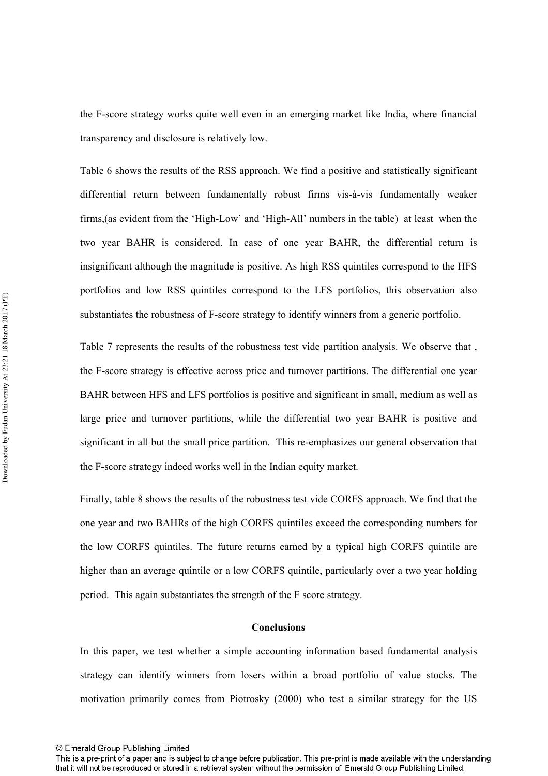the F-score strategy works quite well even in an emerging market like India, where financial transparency and disclosure is relatively low.

Table 6 shows the results of the RSS approach. We find a positive and statistically significant differential return between fundamentally robust firms vis-à-vis fundamentally weaker firms, (as evident from the 'High-Low' and 'High-All' numbers in the table) at least when the two year BAHR is considered. In case of one year BAHR, the differential return is insignificant although the magnitude is positive. As high RSS quintiles correspond to the HFS portfolios and low RSS quintiles correspond to the LFS portfolios, this observation also substantiates the robustness of F-score strategy to identify winners from a generic portfolio.

Table 7 represents the results of the robustness test vide partition analysis. We observe that , the F-score strategy is effective across price and turnover partitions. The differential one year BAHR between HFS and LFS portfolios is positive and significant in small, medium as well as large price and turnover partitions, while the differential two year BAHR is positive and significant in all but the small price partition. This re-emphasizes our general observation that the F-score strategy indeed works well in the Indian equity market.

Finally, table 8 shows the results of the robustness test vide CORFS approach. We find that the one year and two BAHRs of the high CORFS quintiles exceed the corresponding numbers for the low CORFS quintiles. The future returns earned by a typical high CORFS quintile are higher than an average quintile or a low CORFS quintile, particularly over a two year holding period. This again substantiates the strength of the F score strategy.

#### **Conclusions**

In this paper, we test whether a simple accounting information based fundamental analysis strategy can identify winners from losers within a broad portfolio of value stocks. The motivation primarily comes from Piotrosky (2000) who test a similar strategy for the US

<sup>©</sup> Emerald Group Publishing Limited

This is a pre-print of a paper and is subject to change before publication. This pre-print is made available with the understanding that it will not be reproduced or stored in a retrieval system without the permission of Emerald Group Publishing Limited.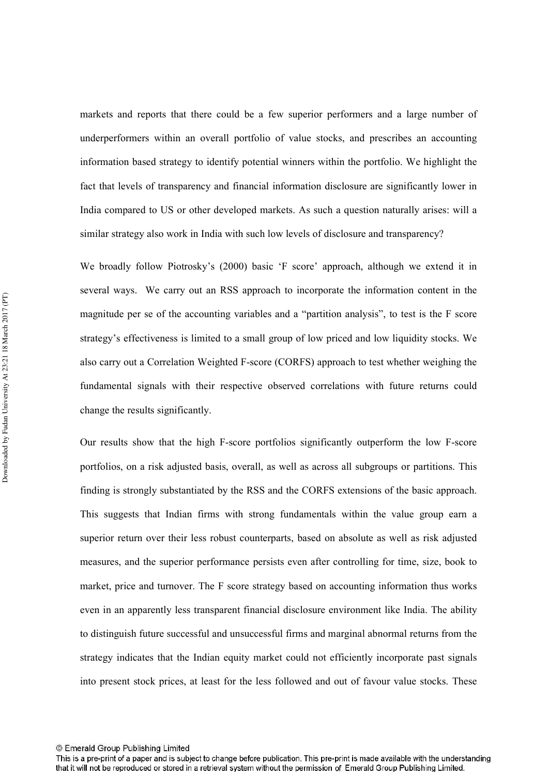markets and reports that there could be a few superior performers and a large number of underperformers within an overall portfolio of value stocks, and prescribes an accounting information based strategy to identify potential winners within the portfolio. We highlight the fact that levels of transparency and financial information disclosure are significantly lower in India compared to US or other developed markets. As such a question naturally arises: will a similar strategy also work in India with such low levels of disclosure and transparency?

We broadly follow Piotrosky's (2000) basic 'F score' approach, although we extend it in several ways. We carry out an RSS approach to incorporate the information content in the magnitude per se of the accounting variables and a "partition analysis", to test is the F score strategy's effectiveness is limited to a small group of low priced and low liquidity stocks. We also carry out a Correlation Weighted F-score (CORFS) approach to test whether weighing the fundamental signals with their respective observed correlations with future returns could change the results significantly.

Our results show that the high F-score portfolios significantly outperform the low F-score portfolios, on a risk adjusted basis, overall, as well as across all subgroups or partitions. This finding is strongly substantiated by the RSS and the CORFS extensions of the basic approach. This suggests that Indian firms with strong fundamentals within the value group earn a superior return over their less robust counterparts, based on absolute as well as risk adjusted measures, and the superior performance persists even after controlling for time, size, book to market, price and turnover. The F score strategy based on accounting information thus works even in an apparently less transparent financial disclosure environment like India. The ability to distinguish future successful and unsuccessful firms and marginal abnormal returns from the strategy indicates that the Indian equity market could not efficiently incorporate past signals into present stock prices, at least for the less followed and out of favour value stocks. These

This is a pre-print of a paper and is subject to change before publication. This pre-print is made available with the understanding that it will not be reproduced or stored in a retrieval system without the permission of Emerald Group Publishing Limited.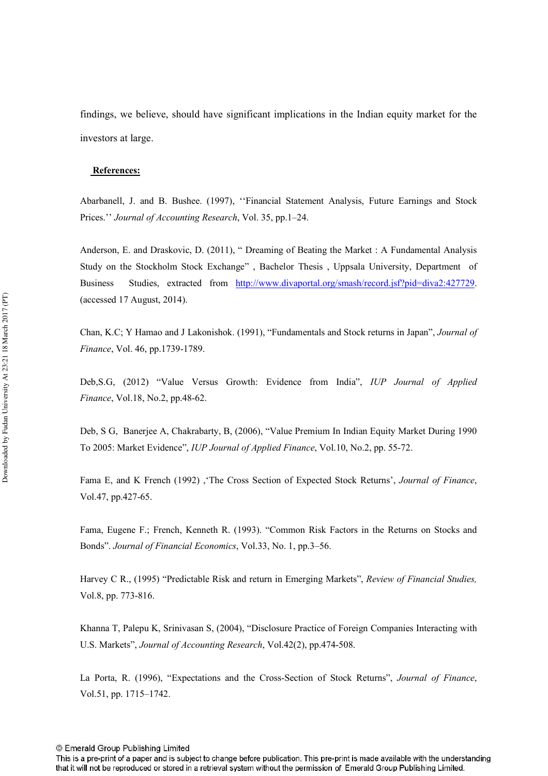findings, we believe, should have significant implications in the Indian equity market for the investors at large.

#### **References:**

Abarbanell, J. and B. Bushee. (1997), ''Financial Statement Analysis, Future Earnings and Stock Prices." *Journal of Accounting Research*, Vol. 35, pp.1–24.

Anderson, E. and Draskovic, D. (2011), " Dreaming of Beating the Market : A Fundamental Analysis Study on the Stockholm Stock Exchange" , Bachelor Thesis , Uppsala University, Department of Business Studies, extracted from http://www.divaportal.org/smash/record.jsf?pid=diva2:427729. (accessed 17 August, 2014).

Chan, K.C; Y Hamao and J Lakonishok. (1991), "Fundamentals and Stock returns in Japan", *Journal of Finance*, Vol. 46, pp.1739-1789.

Deb, S.G, (2012) "Value Versus Growth: Evidence from India", *IUP Journal of Applied Finance*, Vol.18, No.2, pp.48-62.

Deb, S G, Banerjee A, Chakrabarty, B, (2006), "Value Premium In Indian Equity Market During 1990 To 2005: Market Evidence", *IUP Journal of Applied Finance*, Vol.10, No.2, pp. 55-72.

Fama E, and K French (1992), 'The Cross Section of Expected Stock Returns', *Journal of Finance*, Vol.47, pp.427-65.

Fama, Eugene F.; French, Kenneth R. (1993). "Common Risk Factors in the Returns on Stocks and Bonds". *Journal of Financial Economics*, Vol.33, No. 1, pp.3–56.

Harvey C R., (1995) "Predictable Risk and return in Emerging Markets", *Review of Financial Studies*, Vol.8, pp. 773-816.

Khanna T, Palepu K, Srinivasan S, (2004), "Disclosure Practice of Foreign Companies Interacting with U.S. Markets", *Journal of Accounting Research*, Vol.42(2), pp.474-508.

La Porta, R. (1996), "Expectations and the Cross-Section of Stock Returns", *Journal of Finance*, Vol.51, pp. 1715–1742.

This is a pre-print of a paper and is subject to change before publication. This pre-print is made available with the understanding that it will not be reproduced or stored in a retrieval system without the permission of Emerald Group Publishing Limited.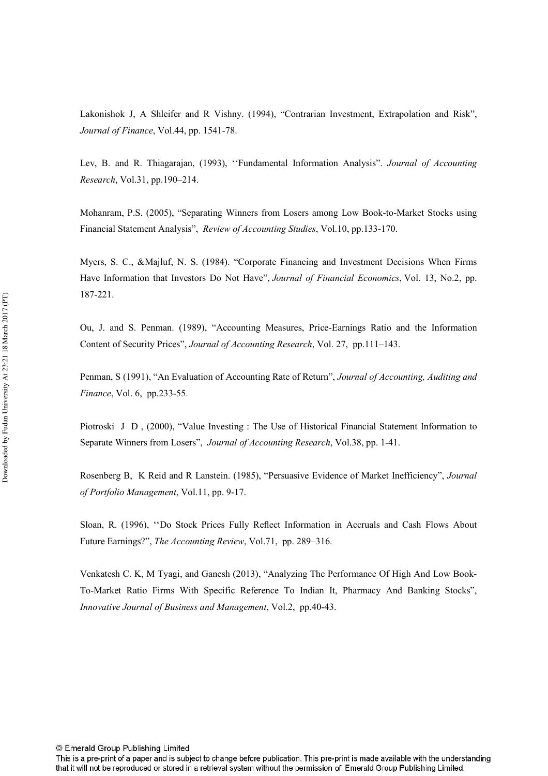Lakonishok J, A Shleifer and R Vishny. (1994), "Contrarian Investment, Extrapolation and Risk", *Journal of Finance*, Vol.44, pp. 1541-78.

Lev, B. and R. Thiagarajan, (1993), "Fundamental Information Analysis". *Journal of Accounting --* , Vol.31, pp.190–214.

Mohanram, P.S. (2005), "Separating Winners from Losers among Low Book-to-Market Stocks using Financial Statement Analysis", *Review of Accounting Studies*, Vol.10, pp.133-170.

Myers, S. C., &Majluf, N. S. (1984). "Corporate Financing and Investment Decisions When Firms Have Information that Investors Do Not Have", *Journal of Financial Economics*, Vol. 13, No.2, pp. 187-221.

Ou, J. and S. Penman. (1989), "Accounting Measures, Price-Earnings Ratio and the Information Content of Security Prices", *Journal of Accounting Research*, Vol. 27, pp.111-143.

Penman, S (1991), "An Evaluation of Accounting Rate of Return", *Journal of Accounting, Auditing and Finance*, Vol. 6, pp.233-55.

Piotroski J D , (2000), "Value Investing : The Use of Historical Financial Statement Information to Separate Winners from Losers", *Journal of Accounting Research*, Vol.38, pp. 1-41.

Rosenberg B, K Reid and R Lanstein. (1985), "Persuasive Evidence of Market Inefficiency", *Journal of Portfolio Management*, Vol.11, pp. 9-17.

Sloan, R. (1996), ''Do Stock Prices Fully Reflect Information in Accruals and Cash Flows About Future Earnings?", The Accounting Review, Vol.71, pp. 289-316.

Venkatesh C. K, M Tyagi, and Ganesh (2013), "Analyzing The Performance Of High And Low Book# To#Market Ratio Firms With Specific Reference To Indian It, Pharmacy And Banking Stocks", Innovative Journal of Business and Management, Vol.2, pp.40-43.

This is a pre-print of a paper and is subject to change before publication. This pre-print is made available with the understanding that it will not be reproduced or stored in a retrieval system without the permission of Emerald Group Publishing Limited.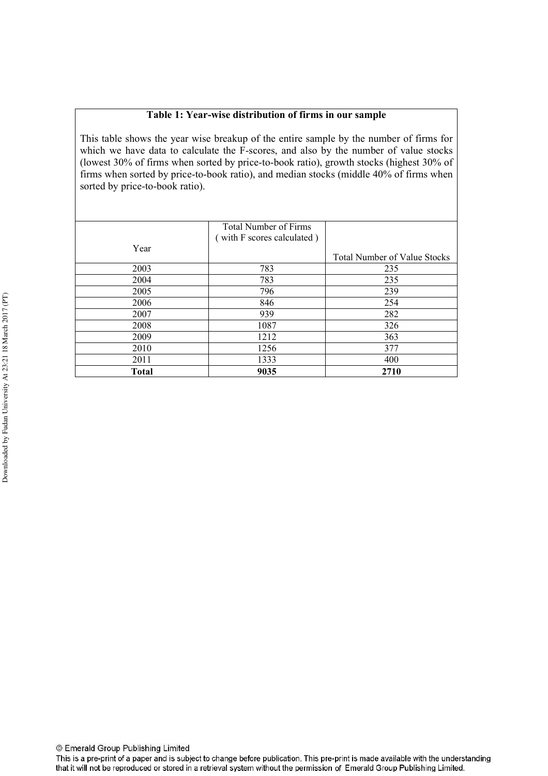#### **Table 1: Year-wise distribution of firms in our sample**

This table shows the year wise breakup of the entire sample by the number of firms for which we have data to calculate the F-scores, and also by the number of value stocks (lowest  $30\%$  of firms when sorted by price-to-book ratio), growth stocks (highest  $30\%$  of firms when sorted by price-to-book ratio), and median stocks (middle 40% of firms when sorted by price-to-book ratio).

|              | <b>Total Number of Firms</b> |                                     |
|--------------|------------------------------|-------------------------------------|
|              | (with F scores calculated)   |                                     |
| Year         |                              |                                     |
|              |                              | <b>Total Number of Value Stocks</b> |
| 2003         | 783                          | 235                                 |
| 2004         | 783                          | 235                                 |
| 2005         | 796                          | 239                                 |
| 2006         | 846                          | 254                                 |
| 2007         | 939                          | 282                                 |
| 2008         | 1087                         | 326                                 |
| 2009         | 1212                         | 363                                 |
| 2010         | 1256                         | 377                                 |
| 2011         | 1333                         | 400                                 |
| <b>Total</b> | 9035                         | 2710                                |

This is a pre-print of a paper and is subject to change before publication. This pre-print is made available with the understanding that it will not be reproduced or stored in a retrieval system without the permission of Emerald Group Publishing Limited.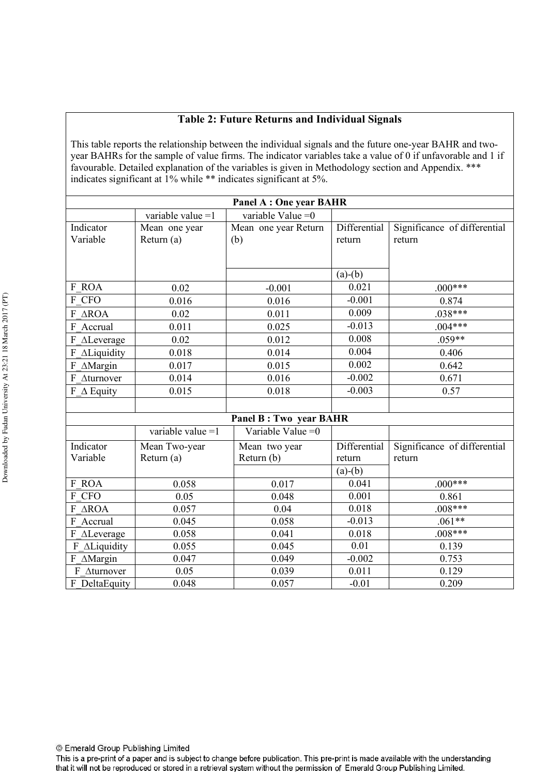## **Table 2: Future Returns and Individual Signals**

This table reports the relationship between the individual signals and the future one-year BAHR and twoyear BAHRs for the sample of value firms. The indicator variables take a value of 0 if unfavorable and 1 if favourable. Detailed explanation of the variables is given in Methodology section and Appendix. \*\*\* indicates significant at 1% while \*\* indicates significant at 5%.

| <b>Panel A: One year BAHR</b> |                     |                               |              |                              |  |  |  |
|-------------------------------|---------------------|-------------------------------|--------------|------------------------------|--|--|--|
|                               | variable value $=1$ | variable Value $=0$           |              |                              |  |  |  |
| Indicator                     | Mean one year       | Mean one year Return          | Differential | Significance of differential |  |  |  |
| Variable                      | Return (a)          | (b)                           | return       | return                       |  |  |  |
|                               |                     |                               |              |                              |  |  |  |
|                               |                     |                               |              |                              |  |  |  |
|                               |                     |                               | $(a)-(b)$    |                              |  |  |  |
| F ROA                         | 0.02                | $-0.001$                      | 0.021        | $.000***$                    |  |  |  |
| F CFO                         | 0.016               | 0.016                         | $-0.001$     | 0.874                        |  |  |  |
| F AROA                        | 0.02                | 0.011                         | 0.009        | $.038***$                    |  |  |  |
| F Accrual                     | 0.011               | 0.025                         | $-0.013$     | $.004***$                    |  |  |  |
| F ALeverage                   | 0.02                | 0.012                         | 0.008        | $.059**$                     |  |  |  |
| F ALiquidity                  | 0.018               | 0.014                         | 0.004        | 0.406                        |  |  |  |
| $F \Delta$ Margin             | 0.017               | 0.015                         | 0.002        | 0.642                        |  |  |  |
| F Aturnover                   | 0.014               | 0.016                         | $-0.002$     | 0.671                        |  |  |  |
| $F \Delta$ Equity             | 0.015               | 0.018                         | $-0.003$     | 0.57                         |  |  |  |
|                               |                     |                               |              |                              |  |  |  |
|                               |                     | <b>Panel B: Two year BAHR</b> |              |                              |  |  |  |
|                               | variable value $=1$ | Variable Value $=0$           |              |                              |  |  |  |
| Indicator                     | Mean Two-year       | Mean two year                 | Differential | Significance of differential |  |  |  |
| Variable                      | Return (a)          | Return (b)                    | return       | return                       |  |  |  |
|                               |                     |                               | $(a)-(b)$    |                              |  |  |  |
| F ROA                         | 0.058               | 0.017                         | 0.041        | $.000***$                    |  |  |  |
| F CFO                         | 0.05                | 0.048                         | 0.001        | 0.861                        |  |  |  |
| F AROA                        | 0.057               | 0.04                          | 0.018        | $.008***$                    |  |  |  |
| F Accrual                     | 0.045               | 0.058                         | $-0.013$     | $.061**$                     |  |  |  |
| F ALeverage                   | 0.058               | 0.041                         | 0.018        | $.008***$                    |  |  |  |
| F_ALiquidity                  | 0.055               | 0.045                         | 0.01         | 0.139                        |  |  |  |
| F AMargin                     | 0.047               | 0.049                         | $-0.002$     | 0.753                        |  |  |  |
| F Aturnover                   | 0.05                | 0.039                         | 0.011        | 0.129                        |  |  |  |
| F DeltaEquity                 | 0.048               | 0.057                         | $-0.01$      | 0.209                        |  |  |  |

© Emerald Group Publishing Limited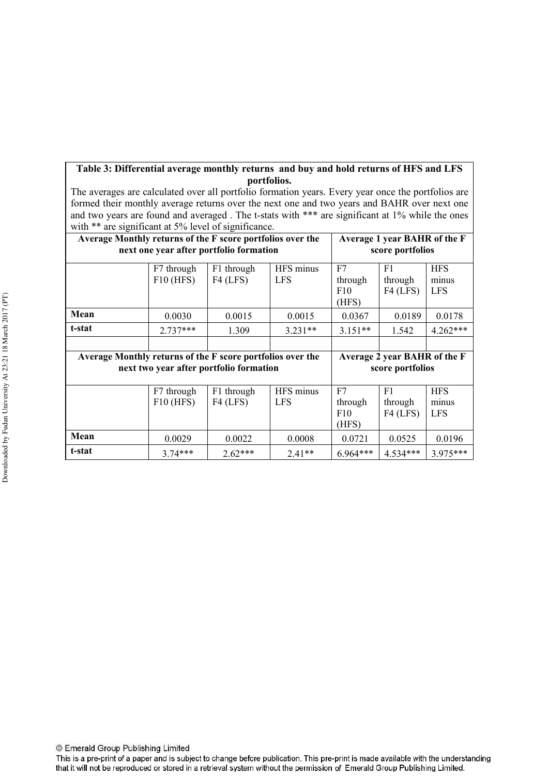### **Table 3: Differential average monthly returns and buy and hold returns of HFS and LFS portfolios.**

The averages are calculated over all portfolio formation years. Every year once the portfolios are formed their monthly average returns over the next one and two years and BAHR over next one and two years are found and averaged. The t-stats with \*\*\* are significant at 1% while the ones with \*\* are significant at 5% level of significance.

| Average Monthly returns of the F score portfolios over the                                 | next one year after portfolio formation | Average 1 year BAHR of the F<br>score portfolios |                         |                               |                             |                                   |  |
|--------------------------------------------------------------------------------------------|-----------------------------------------|--------------------------------------------------|-------------------------|-------------------------------|-----------------------------|-----------------------------------|--|
|                                                                                            | F7 through<br>$F10$ (HFS)               | F1 through<br>$F4$ (LFS)                         | HFS minus<br><b>LFS</b> | F7<br>through<br>F10<br>(HFS) | F1<br>through<br>$F4$ (LFS) | <b>HFS</b><br>minus<br><b>LFS</b> |  |
| Mean                                                                                       | 0.0030                                  | 0.0015                                           | 0.0015                  | 0.0367                        | 0.0189                      | 0.0178                            |  |
| t-stat                                                                                     | $2.737***$                              | 1.309                                            | $3.231**$               | $3.151**$                     | 1.542                       | $4.262***$                        |  |
|                                                                                            |                                         |                                                  |                         |                               |                             |                                   |  |
| Average Monthly returns of the F score portfolios over the<br>Average 2 year BAHR of the F |                                         |                                                  |                         |                               |                             |                                   |  |
|                                                                                            |                                         |                                                  |                         |                               |                             |                                   |  |
|                                                                                            |                                         | next two year after portfolio formation          |                         |                               | score portfolios            |                                   |  |
|                                                                                            | F7 through<br>$F10$ (HFS)               | F1 through<br>$F4$ (LFS)                         | HFS minus<br><b>LFS</b> | F7<br>through<br>F10<br>(HFS) | F1<br>through<br>$F4$ (LFS) | <b>HFS</b><br>minus<br><b>LFS</b> |  |
| Mean                                                                                       | 0.0029                                  | 0.0022                                           | 0.0008                  | 0.0721                        | 0.0525                      | 0.0196                            |  |

© Emerald Group Publishing Limited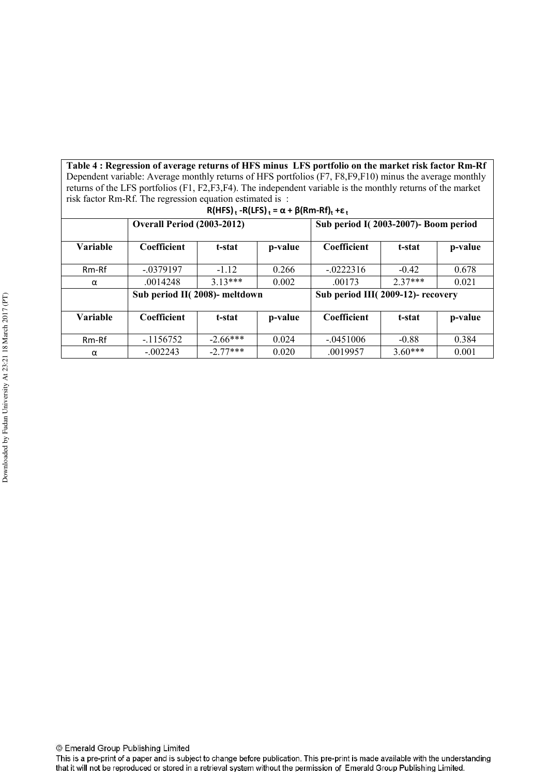Table 4 : Regression of average returns of HFS minus LFS portfolio on the market risk factor Rm-Rf Dependent variable: Average monthly returns of HFS portfolios (F7, F8,F9,F10) minus the average monthly returns of the LFS portfolios (F1, F2,F3,F4). The independent variable is the monthly returns of the market risk factor Rm-Rf. The regression equation estimated is :

| $R(HFS)_t - R(LFS)_t = \alpha + \beta(Rm-Rf)_t + \varepsilon_t$ |                                   |            |         |                                      |           |         |  |  |  |  |
|-----------------------------------------------------------------|-----------------------------------|------------|---------|--------------------------------------|-----------|---------|--|--|--|--|
|                                                                 | <b>Overall Period (2003-2012)</b> |            |         | Sub period I(2003-2007)- Boom period |           |         |  |  |  |  |
| <b>Variable</b>                                                 | Coefficient                       | t-stat     | p-value | Coefficient                          | t-stat    | p-value |  |  |  |  |
| Rm-Rf                                                           | $-.0379197$                       | $-112$     | 0.266   | $-0222316$                           | $-0.42$   | 0.678   |  |  |  |  |
| α                                                               | .0014248                          | $313***$   | 0.002   | .00173                               | $2.37***$ | 0.021   |  |  |  |  |
|                                                                 | Sub period II(2008)- meltdown     |            |         | Sub period III(2009-12)- recovery    |           |         |  |  |  |  |
| <b>Variable</b>                                                 | Coefficient                       | t-stat     | p-value | Coefficient                          | t-stat    | p-value |  |  |  |  |
| Rm-Rf                                                           | $-1156752$                        | $-2.66***$ | 0.024   | $-.0451006$                          | $-0.88$   | 0.384   |  |  |  |  |
| α                                                               | $-0.002243$                       | $-2.77***$ | 0.020   | .0019957                             | $3.60***$ | 0.001   |  |  |  |  |

This is a pre-print of a paper and is subject to change before publication. This pre-print is made available with the understanding that it will not be reproduced or stored in a retrieval system without the permission of Emerald Group Publishing Limited.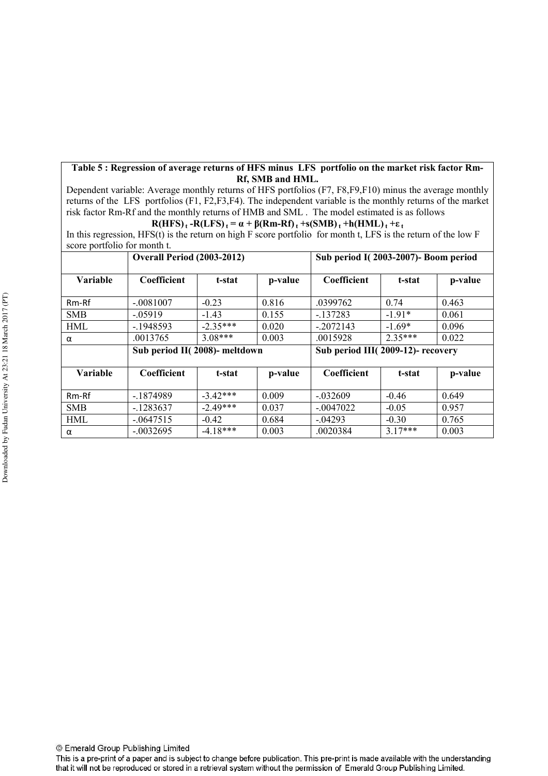#### **Table 5 : Regression of average returns of HFS minus LFS portfolio on the market risk factor Rm& Rf, SMB and HML.**

Dependent variable: Average monthly returns of HFS portfolios (F7, F8,F9,F10) minus the average monthly returns of the LFS portfolios (F1, F2,F3,F4). The independent variable is the monthly returns of the market risk factor Rm-Rf and the monthly returns of HMB and SML . The model estimated is as follows

#### $R(HFS)$ **<sub>t</sub>**  $-R(LFS)$ **t** $= \alpha + \beta(Rm-Rf)$  $t$   $+s(SMB)$ **t** $t$   $+h(HML)$ **t** $t$   $+ \varepsilon$ **t**

In this regression, HFS(t) is the return on high F score portfolio for month t, LFS is the return of the low F score portfolio for month t.

| .          | <b>Overall Period (2003-2012)</b> |            | Sub period I(2003-2007)- Boom period |                                   |           |         |  |
|------------|-----------------------------------|------------|--------------------------------------|-----------------------------------|-----------|---------|--|
| Variable   | Coefficient                       | t-stat     | p-value                              | Coefficient                       | t-stat    | p-value |  |
| $Rm-Rf$    | $-.0081007$                       | $-0.23$    | 0.816                                | .0399762                          | 0.74      | 0.463   |  |
| <b>SMB</b> | $-0.5919$                         | $-1.43$    | 0.155                                | $-137283$                         | $-1.91*$  | 0.061   |  |
| <b>HML</b> | $-1948593$                        | $-2.35***$ | 0.020                                | $-.2072143$                       | $-1.69*$  | 0.096   |  |
| α          | .0013765                          | $3.08***$  | 0.003                                | .0015928                          | $2.35***$ | 0.022   |  |
|            | Sub period II(2008)- meltdown     |            |                                      | Sub period III(2009-12)- recovery |           |         |  |
| Variable   | Coefficient                       | t-stat     | p-value                              | Coefficient                       | t-stat    | p-value |  |
| Rm-Rf      | -.1874989                         | $-3.42***$ | 0.009                                | $-.032609$                        | $-0.46$   | 0.649   |  |
| <b>SMB</b> | $-1283637$                        | $-2.49***$ | 0.037                                | $-.0047022$                       | $-0.05$   | 0.957   |  |
| <b>HML</b> | $-0.0647515$                      | $-0.42$    | 0.684                                | $-.04293$                         | $-0.30$   | 0.765   |  |
| α          | $-.0032695$                       | $-4.18***$ | 0.003                                | .0020384                          | $3.17***$ | 0.003   |  |

© Emerald Group Publishing Limited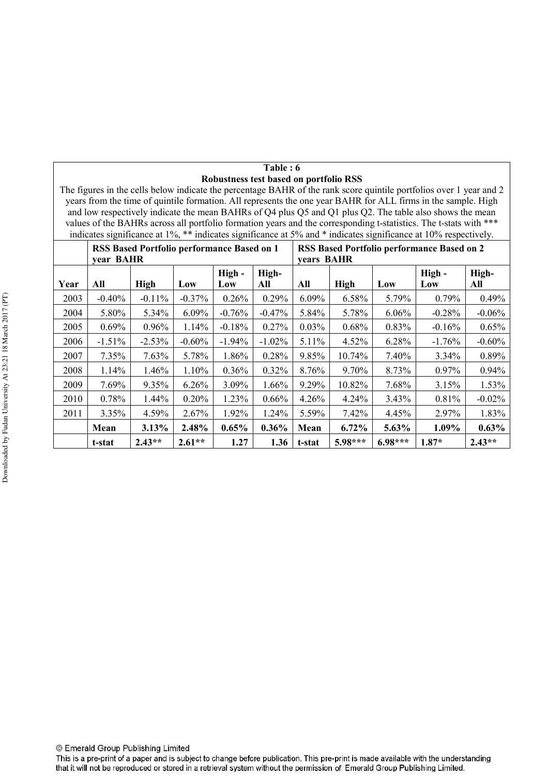| Table : 6                                                                                                           |
|---------------------------------------------------------------------------------------------------------------------|
| Robustness test based on portfolio RSS                                                                              |
| The figures in the cells below indicate the percentage BAHR of the rank score quintile portfolios over 1 year and 2 |
| years from the time of quintile formation. All represents the one year BAHR for ALL firms in the sample. High       |
| and low respectively indicate the mean BAHRs of Q4 plus Q5 and Q1 plus Q2. The table also shows the mean            |

years from the time of quintile formation. All represents the one year BAHR for ALL firms in the sample. High and low respectively indicate the mean BAHRs of Q4 plus Q5 and Q1 plus Q2. The table also shows the mean values of the BAHRs across all portfolio formation years and the corresponding t-statistics. The t-stats with \*\*\* indicates significance at 1%, \*\* indicates significance at 5% and \* indicates significance at 10% respectively.

|      | <b>RSS Based Portfolio performance Based on 1</b><br>vear BAHR |             |           |               |              | <b>RSS Based Portfolio performance Based on 2</b><br>vears BAHR |             |           |               |              |
|------|----------------------------------------------------------------|-------------|-----------|---------------|--------------|-----------------------------------------------------------------|-------------|-----------|---------------|--------------|
| Year | All                                                            | <b>High</b> | Low       | High -<br>Low | High-<br>All | All                                                             | <b>High</b> | Low       | High -<br>Low | High-<br>All |
| 2003 | $-0.40%$                                                       | $-0.11%$    | $-0.37%$  | 0.26%         | 0.29%        | 6.09%                                                           | 6.58%       | 5.79%     | 0.79%         | 0.49%        |
| 2004 | 5.80%                                                          | 5.34%       | $6.09\%$  | $-0.76%$      | $-0.47%$     | 5.84%                                                           | 5.78%       | $6.06\%$  | $-0.28%$      | $-0.06\%$    |
| 2005 | $0.69\%$                                                       | 0.96%       | 1.14%     | $-0.18%$      | 0.27%        | 0.03%                                                           | 0.68%       | 0.83%     | $-0.16%$      | 0.65%        |
| 2006 | $-1.51\%$                                                      | $-2.53%$    | $-0.60\%$ | $-1.94\%$     | $-1.02\%$    | $5.11\%$                                                        | 4.52%       | 6.28%     | $-1.76\%$     | $-0.60\%$    |
| 2007 | 7.35%                                                          | 7.63%       | 5.78%     | 1.86%         | 0.28%        | 9.85%                                                           | 10.74%      | 7.40%     | 3.34%         | 0.89%        |
| 2008 | $1.14\%$                                                       | 1.46%       | $1.10\%$  | $0.36\%$      | 0.32%        | 8.76%                                                           | 9.70%       | 8.73%     | $0.97\%$      | 0.94%        |
| 2009 | 7.69%                                                          | 9.35%       | 6.26%     | 3.09%         | 1.66%        | 9.29%                                                           | 10.82%      | 7.68%     | 3.15%         | 1.53%        |
| 2010 | 0.78%                                                          | 1.44%       | 0.20%     | 1.23%         | $0.66\%$     | $4.26\%$                                                        | $4.24\%$    | 3.43%     | 0.81%         | $-0.02%$     |
| 2011 | 3.35%                                                          | 4.59%       | 2.67%     | 1.92%         | 1.24%        | 5.59%                                                           | 7.42%       | 4.45%     | 2.97%         | 1.83%        |
|      | Mean                                                           | $3.13\%$    | 2.48%     | $0.65\%$      | $0.36\%$     | Mean                                                            | $6.72\%$    | 5.63%     | 1.09%         | 0.63%        |
|      | t-stat                                                         | $2.43**$    | $2.61**$  | 1.27          | 1.36         | t-stat                                                          | 5.98***     | $6.98***$ | $1.87*$       | $2.43**$     |

© Emerald Group Publishing Limited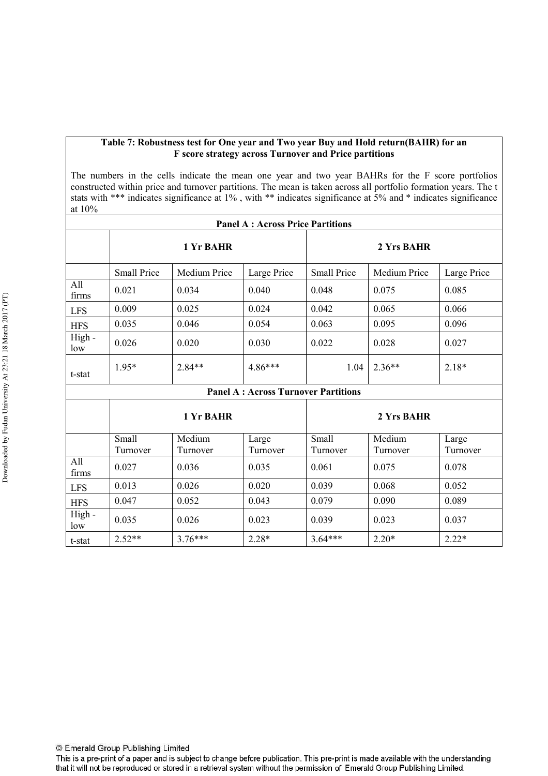#### **Table 7: Robustness test for One year and Two year Buy and Hold return(BAHR) for an F score strategy across Turnover and Price partitions**

The numbers in the cells indicate the mean one year and two year BAHRs for the F score portfolios constructed within price and turnover partitions. The mean is taken across all portfolio formation years. The t stats with \*\*\* indicates significance at 1% , with \*\* indicates significance at 5% and \* indicates significance at 10%

| <b>Panel A: Across Price Partitions</b> |                    |              |                                                                                                                        |                    |              |             |  |  |  |  |
|-----------------------------------------|--------------------|--------------|------------------------------------------------------------------------------------------------------------------------|--------------------|--------------|-------------|--|--|--|--|
|                                         | 1 Yr BAHR          |              |                                                                                                                        | 2 Yrs BAHR         |              |             |  |  |  |  |
|                                         | <b>Small Price</b> | Medium Price | Large Price                                                                                                            | <b>Small Price</b> | Medium Price | Large Price |  |  |  |  |
| All<br>firms                            | 0.021              | 0.034        | 0.040                                                                                                                  | 0.048              | 0.075        | 0.085       |  |  |  |  |
| <b>LFS</b>                              | 0.009              | 0.025        | 0.024                                                                                                                  | 0.042              | 0.065        | 0.066       |  |  |  |  |
| <b>HFS</b>                              | 0.035              | 0.046        | 0.054                                                                                                                  | 0.063              | 0.095        | 0.096       |  |  |  |  |
| High -<br>low                           | 0.026              | 0.020        | 0.030                                                                                                                  | 0.022              | 0.028        | 0.027       |  |  |  |  |
| t-stat                                  | $1.95*$            | $2.84**$     | $4.86***$                                                                                                              | 1.04               | $2.36**$     | $2.18*$     |  |  |  |  |
|                                         |                    |              | $\mathbf{D}_{\alpha}$ and $\mathbf{A}$ at $\mathbf{A}$ and $\alpha$ . The property $\mathbf{D}_{\alpha}$ with $\alpha$ |                    |              |             |  |  |  |  |

|               | 1 Yr BAHR |          |          | 2 Yrs BAHR |          |          |  |
|---------------|-----------|----------|----------|------------|----------|----------|--|
|               | Small     | Medium   | Large    | Small      | Medium   | Large    |  |
|               | Turnover  | Turnover | Turnover | Turnover   | Turnover | Turnover |  |
| All<br>firms  | 0.027     | 0.036    | 0.035    | 0.061      | 0.075    | 0.078    |  |
| <b>LFS</b>    | 0.013     | 0.026    | 0.020    | 0.039      | 0.068    | 0.052    |  |
| <b>HFS</b>    | 0.047     | 0.052    | 0.043    | 0.079      | 0.090    | 0.089    |  |
| High -<br>low | 0.035     | 0.026    | 0.023    | 0.039      | 0.023    | 0.037    |  |
| t-stat        | $2.52**$  | $376***$ | $2.28*$  | $3.64***$  | $2.20*$  | $2.22*$  |  |

© Emerald Group Publishing Limited